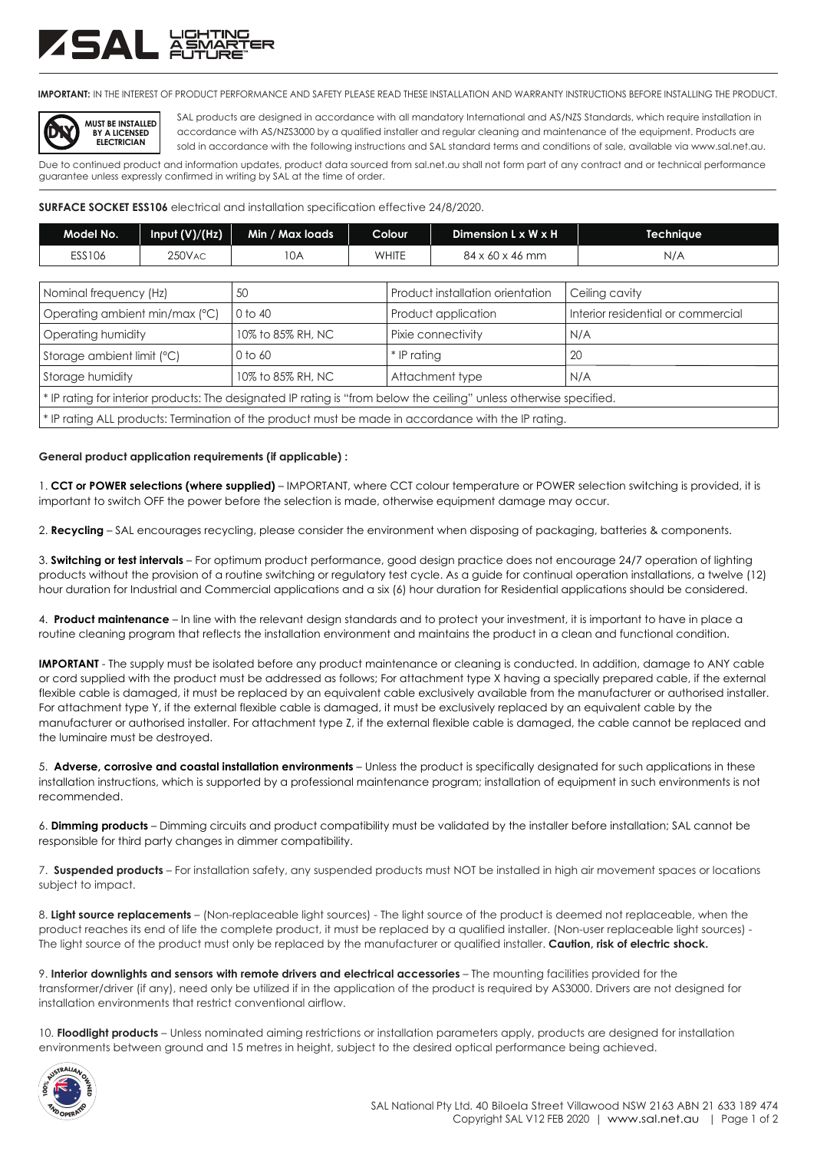## ZSAL XW

**IMPORTANT:** IN THE INTEREST OF PRODUCT PERFORMANCE AND SAFETY PLEASE READ THESE INSTALLATION AND WARRANTY INSTRUCTIONS BEFORE INSTALLING THE PRODUCT.



SAL products are designed in accordance with all mandatory International and AS/NZS Standards, which require installation in accordance with AS/NZS3000 by a qualified installer and regular cleaning and maintenance of the equipment. Products are sold in accordance with the following instructions and SAL standard terms and conditions of sale, available via www.sal.net.au.

Due to continued product and information updates, product data sourced from sal.net.au shall not form part of any contract and or technical performance guarantee unless expressly confirmed in writing by SAL at the time of order.

**SURFACE SOCKET ESS106** electrical and installation specification effective 24/8/2020.

| Model No.     | Input (V)/(Hz) | Min / Max loads | Colour | Dimension L x W x H | Techniaue |
|---------------|----------------|-----------------|--------|---------------------|-----------|
| <b>ESS106</b> | 250VAC         | 10A             | WHITE  | 84 x 60 x 46 mm     | N/A       |

| Nominal frequency (Hz)                                                                                              | 50                | Product installation orientation | <sup>1</sup> Ceiling cavity        |  |  |  |  |
|---------------------------------------------------------------------------------------------------------------------|-------------------|----------------------------------|------------------------------------|--|--|--|--|
| Operating ambient min/max (°C)                                                                                      | 0 to 40           | Product application              | Interior residential or commercial |  |  |  |  |
| Operatina humidity                                                                                                  | 10% to 85% RH, NC | Pixie connectivity               | N/A                                |  |  |  |  |
| Storage ambient limit (°C)                                                                                          | 0 to 60           | * IP ratina                      | 20                                 |  |  |  |  |
| Storage humidity                                                                                                    | 10% to 85% RH, NC | Attachment type                  | N/A                                |  |  |  |  |
| * IP rating for interior products: The designated IP rating is "from below the ceiling" unless otherwise specified. |                   |                                  |                                    |  |  |  |  |
| * IP rating ALL products: Termination of the product must be made in accordance with the IP rating.                 |                   |                                  |                                    |  |  |  |  |

**General product application requirements (if applicable) :**

1. **CCT or POWER selections (where supplied)** – IMPORTANT, where CCT colour temperature or POWER selection switching is provided, it is important to switch OFF the power before the selection is made, otherwise equipment damage may occur.

2. **Recycling** – SAL encourages recycling, please consider the environment when disposing of packaging, batteries & components.

3. **Switching or test intervals** – For optimum product performance, good design practice does not encourage 24/7 operation of lighting products without the provision of a routine switching or regulatory test cycle. As a guide for continual operation installations, a twelve (12) hour duration for Industrial and Commercial applications and a six (6) hour duration for Residential applications should be considered.

4. **Product maintenance** – In line with the relevant design standards and to protect your investment, it is important to have in place a routine cleaning program that reflects the installation environment and maintains the product in a clean and functional condition.

**IMPORTANT** - The supply must be isolated before any product maintenance or cleaning is conducted. In addition, damage to ANY cable or cord supplied with the product must be addressed as follows; For attachment type X having a specially prepared cable, if the external flexible cable is damaged, it must be replaced by an equivalent cable exclusively available from the manufacturer or authorised installer. For attachment type Y, if the external flexible cable is damaged, it must be exclusively replaced by an equivalent cable by the manufacturer or authorised installer. For attachment type Z, if the external flexible cable is damaged, the cable cannot be replaced and the luminaire must be destroyed.

5. **Adverse, corrosive and coastal installation environments** – Unless the product is specifically designated for such applications in these installation instructions, which is supported by a professional maintenance program; installation of equipment in such environments is not recommended.

6. **Dimming products** – Dimming circuits and product compatibility must be validated by the installer before installation; SAL cannot be responsible for third party changes in dimmer compatibility.

7. **Suspended products** – For installation safety, any suspended products must NOT be installed in high air movement spaces or locations subject to impact.

8. **Light source replacements** – (Non-replaceable light sources) - The light source of the product is deemed not replaceable, when the product reaches its end of life the complete product, it must be replaced by a qualified installer. (Non-user replaceable light sources) - The light source of the product must only be replaced by the manufacturer or qualified installer. **Caution, risk of electric shock.**

9. **Interior downlights and sensors with remote drivers and electrical accessories** – The mounting facilities provided for the transformer/driver (if any), need only be utilized if in the application of the product is required by AS3000. Drivers are not designed for installation environments that restrict conventional airflow.

10. **Floodlight products** – Unless nominated aiming restrictions or installation parameters apply, products are designed for installation environments between ground and 15 metres in height, subject to the desired optical performance being achieved.